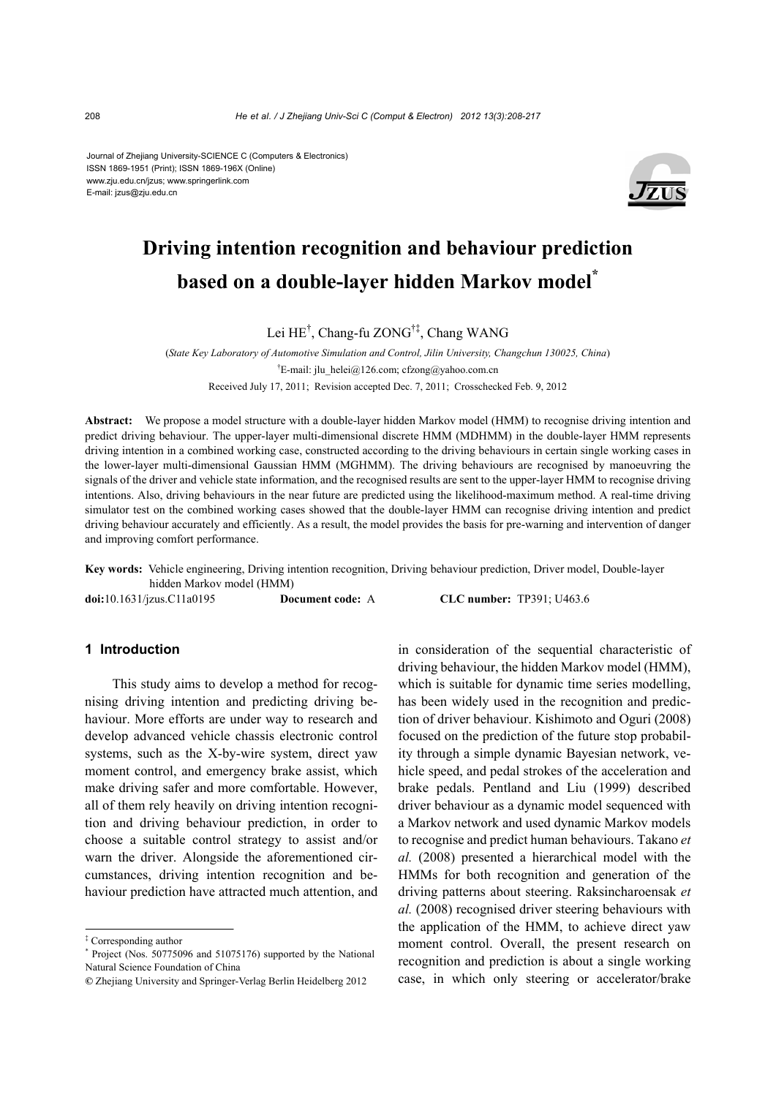Journal of Zhejiang University-SCIENCE C (Computers & Electronics) ISSN 1869-1951 (Print); ISSN 1869-196X (Online) www.zju.edu.cn/jzus; www.springerlink.com E-mail: jzus@zju.edu.cn



# **Driving intention recognition and behaviour prediction based on a double-layer hidden Markov model\***

Lei HE† , Chang-fu ZONG†‡, Chang WANG

(*State Key Laboratory of Automotive Simulation and Control, Jilin University, Changchun 130025, China*) † E-mail: jlu\_helei@126.com; cfzong@yahoo.com.cn Received July 17, 2011; Revision accepted Dec. 7, 2011; Crosschecked Feb. 9, 2012

**Abstract:** We propose a model structure with a double-layer hidden Markov model (HMM) to recognise driving intention and predict driving behaviour. The upper-layer multi-dimensional discrete HMM (MDHMM) in the double-layer HMM represents driving intention in a combined working case, constructed according to the driving behaviours in certain single working cases in the lower-layer multi-dimensional Gaussian HMM (MGHMM). The driving behaviours are recognised by manoeuvring the signals of the driver and vehicle state information, and the recognised results are sent to the upper-layer HMM to recognise driving intentions. Also, driving behaviours in the near future are predicted using the likelihood-maximum method. A real-time driving simulator test on the combined working cases showed that the double-layer HMM can recognise driving intention and predict driving behaviour accurately and efficiently. As a result, the model provides the basis for pre-warning and intervention of danger and improving comfort performance.

**Key words:** Vehicle engineering, Driving intention recognition, Driving behaviour prediction, Driver model, Double-layer hidden Markov model (HMM)

**doi:**10.1631/jzus.C11a0195 **Document code:** A **CLC number:** TP391; U463.6

**1 Introduction** 

This study aims to develop a method for recognising driving intention and predicting driving behaviour. More efforts are under way to research and develop advanced vehicle chassis electronic control systems, such as the X-by-wire system, direct yaw moment control, and emergency brake assist, which make driving safer and more comfortable. However, all of them rely heavily on driving intention recognition and driving behaviour prediction, in order to choose a suitable control strategy to assist and/or warn the driver. Alongside the aforementioned circumstances, driving intention recognition and behaviour prediction have attracted much attention, and

in consideration of the sequential characteristic of driving behaviour, the hidden Markov model (HMM), which is suitable for dynamic time series modelling, has been widely used in the recognition and prediction of driver behaviour. Kishimoto and Oguri (2008) focused on the prediction of the future stop probability through a simple dynamic Bayesian network, vehicle speed, and pedal strokes of the acceleration and brake pedals. Pentland and Liu (1999) described driver behaviour as a dynamic model sequenced with a Markov network and used dynamic Markov models to recognise and predict human behaviours. Takano *et al.* (2008) presented a hierarchical model with the HMMs for both recognition and generation of the driving patterns about steering. Raksincharoensak *et al.* (2008) recognised driver steering behaviours with the application of the HMM, to achieve direct yaw moment control. Overall, the present research on recognition and prediction is about a single working case, in which only steering or accelerator/brake

<sup>‡</sup> Corresponding author

<sup>\*</sup> Project (Nos. 50775096 and 51075176) supported by the National Natural Science Foundation of China

**<sup>©</sup>** Zhejiang University and Springer-Verlag Berlin Heidelberg 2012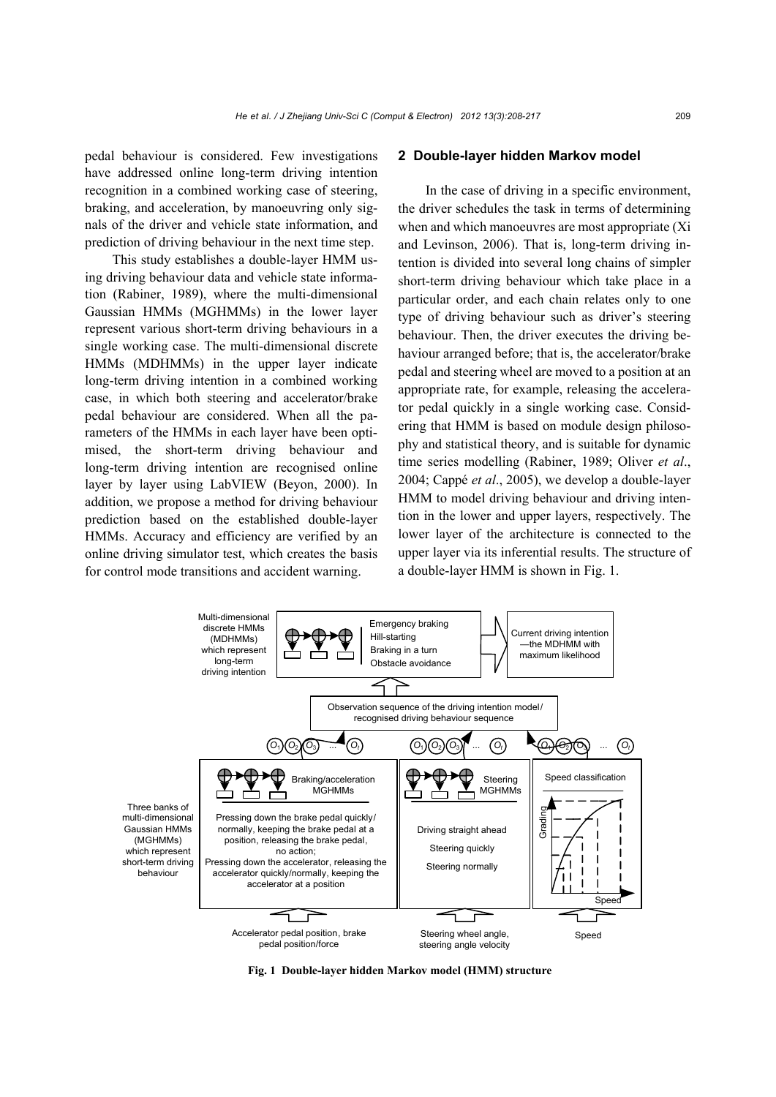pedal behaviour is considered. Few investigations have addressed online long-term driving intention recognition in a combined working case of steering, braking, and acceleration, by manoeuvring only signals of the driver and vehicle state information, and prediction of driving behaviour in the next time step.

This study establishes a double-layer HMM using driving behaviour data and vehicle state information (Rabiner, 1989), where the multi-dimensional Gaussian HMMs (MGHMMs) in the lower layer represent various short-term driving behaviours in a single working case. The multi-dimensional discrete HMMs (MDHMMs) in the upper layer indicate long-term driving intention in a combined working case, in which both steering and accelerator/brake pedal behaviour are considered. When all the parameters of the HMMs in each layer have been optimised, the short-term driving behaviour and long-term driving intention are recognised online layer by layer using LabVIEW (Beyon, 2000). In addition, we propose a method for driving behaviour prediction based on the established double-layer HMMs. Accuracy and efficiency are verified by an online driving simulator test, which creates the basis for control mode transitions and accident warning.

#### **2 Double-layer hidden Markov model**

In the case of driving in a specific environment, the driver schedules the task in terms of determining when and which manoeuvres are most appropriate (Xi and Levinson, 2006). That is, long-term driving intention is divided into several long chains of simpler short-term driving behaviour which take place in a particular order, and each chain relates only to one type of driving behaviour such as driver's steering behaviour. Then, the driver executes the driving behaviour arranged before; that is, the accelerator/brake pedal and steering wheel are moved to a position at an appropriate rate, for example, releasing the accelerator pedal quickly in a single working case. Considering that HMM is based on module design philosophy and statistical theory, and is suitable for dynamic time series modelling (Rabiner, 1989; Oliver *et al*., 2004; Cappé *et al*., 2005), we develop a double-layer HMM to model driving behaviour and driving intention in the lower and upper layers, respectively. The lower layer of the architecture is connected to the upper layer via its inferential results. The structure of a double-layer HMM is shown in Fig. 1.



**Fig. 1 Double-layer hidden Markov model (HMM) structure**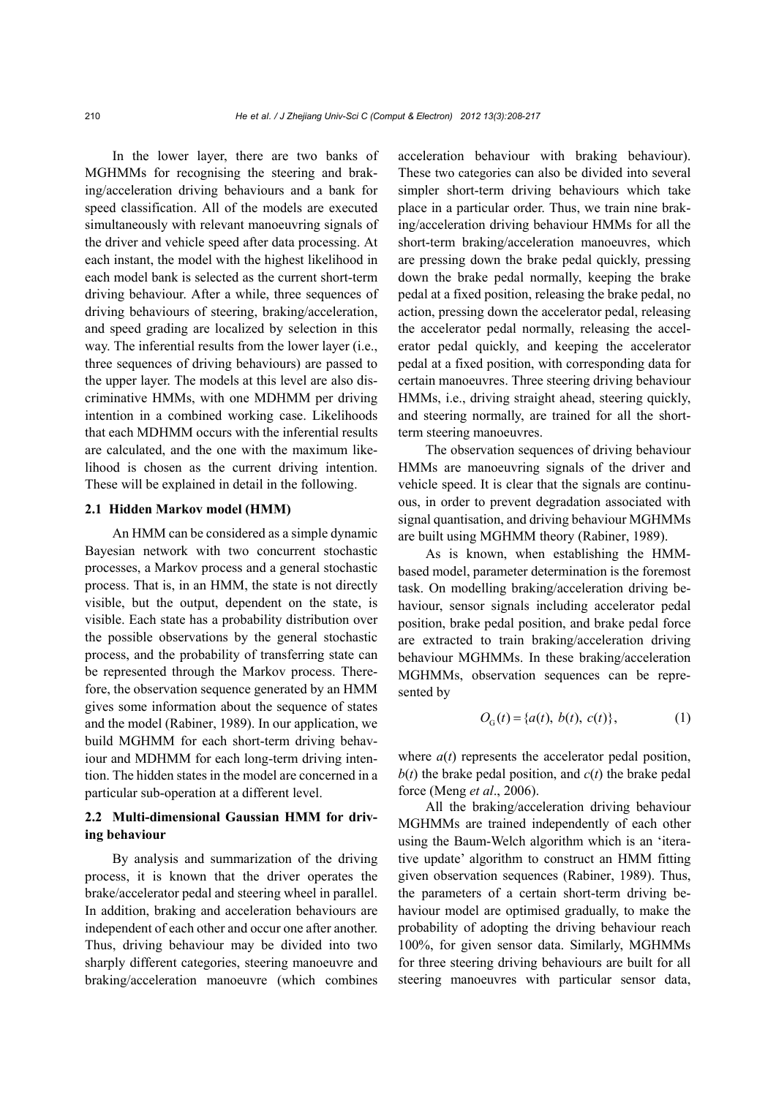In the lower layer, there are two banks of MGHMMs for recognising the steering and braking/acceleration driving behaviours and a bank for speed classification. All of the models are executed simultaneously with relevant manoeuvring signals of the driver and vehicle speed after data processing. At each instant, the model with the highest likelihood in each model bank is selected as the current short-term driving behaviour. After a while, three sequences of driving behaviours of steering, braking/acceleration, and speed grading are localized by selection in this way. The inferential results from the lower layer (i.e., three sequences of driving behaviours) are passed to the upper layer. The models at this level are also discriminative HMMs, with one MDHMM per driving intention in a combined working case. Likelihoods that each MDHMM occurs with the inferential results are calculated, and the one with the maximum likelihood is chosen as the current driving intention. These will be explained in detail in the following.

### **2.1 Hidden Markov model (HMM)**

An HMM can be considered as a simple dynamic Bayesian network with two concurrent stochastic processes, a Markov process and a general stochastic process. That is, in an HMM, the state is not directly visible, but the output, dependent on the state, is visible. Each state has a probability distribution over the possible observations by the general stochastic process, and the probability of transferring state can be represented through the Markov process. Therefore, the observation sequence generated by an HMM gives some information about the sequence of states and the model (Rabiner, 1989). In our application, we build MGHMM for each short-term driving behaviour and MDHMM for each long-term driving intention. The hidden states in the model are concerned in a particular sub-operation at a different level.

# **2.2 Multi-dimensional Gaussian HMM for driving behaviour**

By analysis and summarization of the driving process, it is known that the driver operates the brake/accelerator pedal and steering wheel in parallel. In addition, braking and acceleration behaviours are independent of each other and occur one after another. Thus, driving behaviour may be divided into two sharply different categories, steering manoeuvre and braking/acceleration manoeuvre (which combines acceleration behaviour with braking behaviour). These two categories can also be divided into several simpler short-term driving behaviours which take place in a particular order. Thus, we train nine braking/acceleration driving behaviour HMMs for all the short-term braking/acceleration manoeuvres, which are pressing down the brake pedal quickly, pressing down the brake pedal normally, keeping the brake pedal at a fixed position, releasing the brake pedal, no action, pressing down the accelerator pedal, releasing the accelerator pedal normally, releasing the accelerator pedal quickly, and keeping the accelerator pedal at a fixed position, with corresponding data for certain manoeuvres. Three steering driving behaviour HMMs, i.e., driving straight ahead, steering quickly, and steering normally, are trained for all the shortterm steering manoeuvres.

The observation sequences of driving behaviour HMMs are manoeuvring signals of the driver and vehicle speed. It is clear that the signals are continuous, in order to prevent degradation associated with signal quantisation, and driving behaviour MGHMMs are built using MGHMM theory (Rabiner, 1989).

As is known, when establishing the HMMbased model, parameter determination is the foremost task. On modelling braking/acceleration driving behaviour, sensor signals including accelerator pedal position, brake pedal position, and brake pedal force are extracted to train braking/acceleration driving behaviour MGHMMs. In these braking/acceleration MGHMMs, observation sequences can be represented by

$$
O_{G}(t) = \{a(t), b(t), c(t)\},
$$
 (1)

where  $a(t)$  represents the accelerator pedal position,  $b(t)$  the brake pedal position, and  $c(t)$  the brake pedal force (Meng *et al*., 2006).

All the braking/acceleration driving behaviour MGHMMs are trained independently of each other using the Baum-Welch algorithm which is an 'iterative update' algorithm to construct an HMM fitting given observation sequences (Rabiner, 1989). Thus, the parameters of a certain short-term driving behaviour model are optimised gradually, to make the probability of adopting the driving behaviour reach 100%, for given sensor data. Similarly, MGHMMs for three steering driving behaviours are built for all steering manoeuvres with particular sensor data,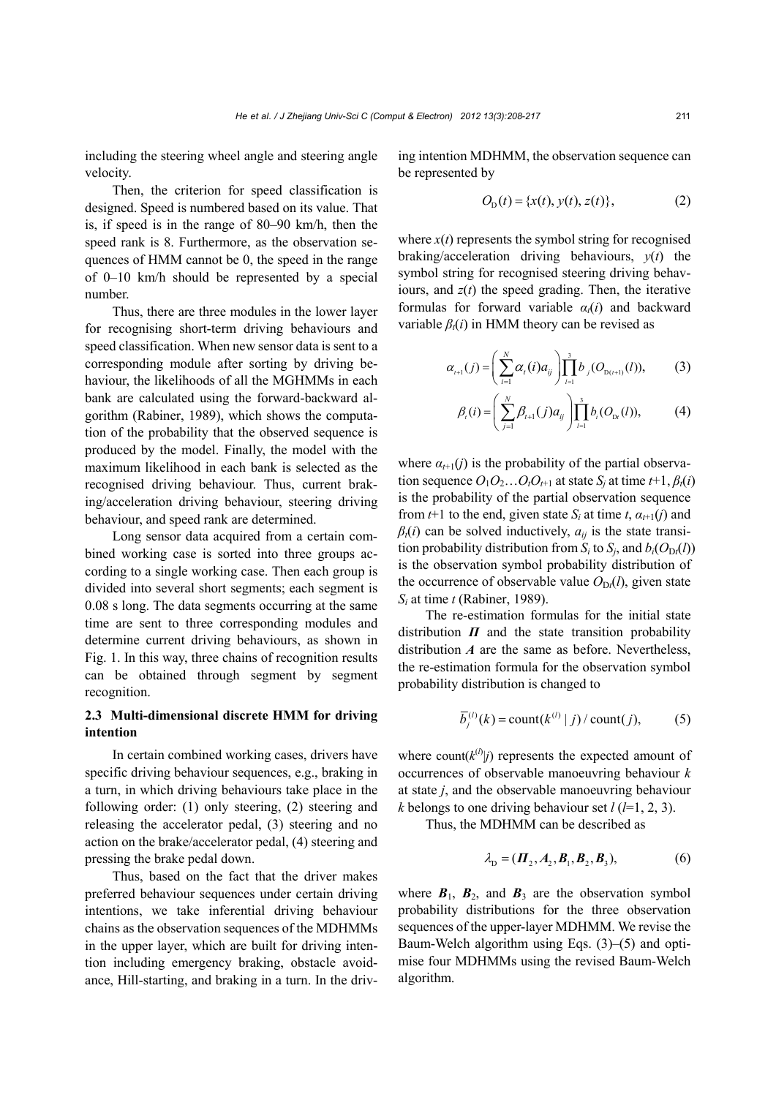including the steering wheel angle and steering angle velocity.

Then, the criterion for speed classification is designed. Speed is numbered based on its value. That is, if speed is in the range of 80–90 km/h, then the speed rank is 8. Furthermore, as the observation sequences of HMM cannot be 0, the speed in the range of 0–10 km/h should be represented by a special number.

Thus, there are three modules in the lower layer for recognising short-term driving behaviours and speed classification. When new sensor data is sent to a corresponding module after sorting by driving behaviour, the likelihoods of all the MGHMMs in each bank are calculated using the forward-backward algorithm (Rabiner, 1989), which shows the computation of the probability that the observed sequence is produced by the model. Finally, the model with the maximum likelihood in each bank is selected as the recognised driving behaviour. Thus, current braking/acceleration driving behaviour, steering driving behaviour, and speed rank are determined.

Long sensor data acquired from a certain combined working case is sorted into three groups according to a single working case. Then each group is divided into several short segments; each segment is 0.08 s long. The data segments occurring at the same time are sent to three corresponding modules and determine current driving behaviours, as shown in Fig. 1. In this way, three chains of recognition results can be obtained through segment by segment recognition.

## **2.3 Multi-dimensional discrete HMM for driving intention**

In certain combined working cases, drivers have specific driving behaviour sequences, e.g., braking in a turn, in which driving behaviours take place in the following order: (1) only steering, (2) steering and releasing the accelerator pedal, (3) steering and no action on the brake/accelerator pedal, (4) steering and pressing the brake pedal down.

Thus, based on the fact that the driver makes preferred behaviour sequences under certain driving intentions, we take inferential driving behaviour chains as the observation sequences of the MDHMMs in the upper layer, which are built for driving intention including emergency braking, obstacle avoidance, Hill-starting, and braking in a turn. In the driving intention MDHMM, the observation sequence can be represented by

$$
O_{D}(t) = \{x(t), y(t), z(t)\},\tag{2}
$$

where  $x(t)$  represents the symbol string for recognised braking/acceleration driving behaviours, *y*(*t*) the symbol string for recognised steering driving behaviours, and *z*(*t*) the speed grading. Then, the iterative formulas for forward variable  $\alpha_i(i)$  and backward variable  $\beta_i(i)$  in HMM theory can be revised as

$$
\alpha_{t+1}(j) = \left(\sum_{i=1}^{N} \alpha_{t}(i) a_{ij}\right) \prod_{l=1}^{3} b_{j}(O_{D(t+1)}(l)),\tag{3}
$$

$$
\beta_{t}(i) = \left(\sum_{j=1}^{N} \beta_{t+1}(j)a_{ij}\right) \prod_{l=1}^{3} b_{i}(O_{D_{l}}(l)), \tag{4}
$$

where  $\alpha_{t+1}(i)$  is the probability of the partial observation sequence  $O_1O_2$ ... $O_tO_{t+1}$  at state  $S_i$  at time  $t+1$ ,  $\beta_t(i)$ is the probability of the partial observation sequence from *t*+1 to the end, given state  $S_i$  at time *t*,  $\alpha_{t+1}(i)$  and  $\beta_i(i)$  can be solved inductively,  $a_{ij}$  is the state transition probability distribution from  $S_i$  to  $S_i$ , and  $b_i(O_{D_i}(l))$ is the observation symbol probability distribution of the occurrence of observable value  $O_{D}(\ell)$ , given state *Si* at time *t* (Rabiner, 1989).

The re-estimation formulas for the initial state distribution  $\Pi$  and the state transition probability distribution *A* are the same as before. Nevertheless, the re-estimation formula for the observation symbol probability distribution is changed to

$$
\overline{b}_j^{(l)}(k) = \text{count}(k^{(l)} | j) / \text{count}(j),
$$
 (5)

where count $(k^{(l)}|j)$  represents the expected amount of occurrences of observable manoeuvring behaviour *k* at state *j*, and the observable manoeuvring behaviour *k* belongs to one driving behaviour set  $l(l=1, 2, 3)$ .

Thus, the MDHMM can be described as

$$
\lambda_{\mathcal{D}} = (\boldsymbol{\varPi}_2, \boldsymbol{A}_2, \boldsymbol{B}_1, \boldsymbol{B}_2, \boldsymbol{B}_3),\tag{6}
$$

where  $B_1$ ,  $B_2$ , and  $B_3$  are the observation symbol probability distributions for the three observation sequences of the upper-layer MDHMM. We revise the Baum-Welch algorithm using Eqs. (3)–(5) and optimise four MDHMMs using the revised Baum-Welch algorithm.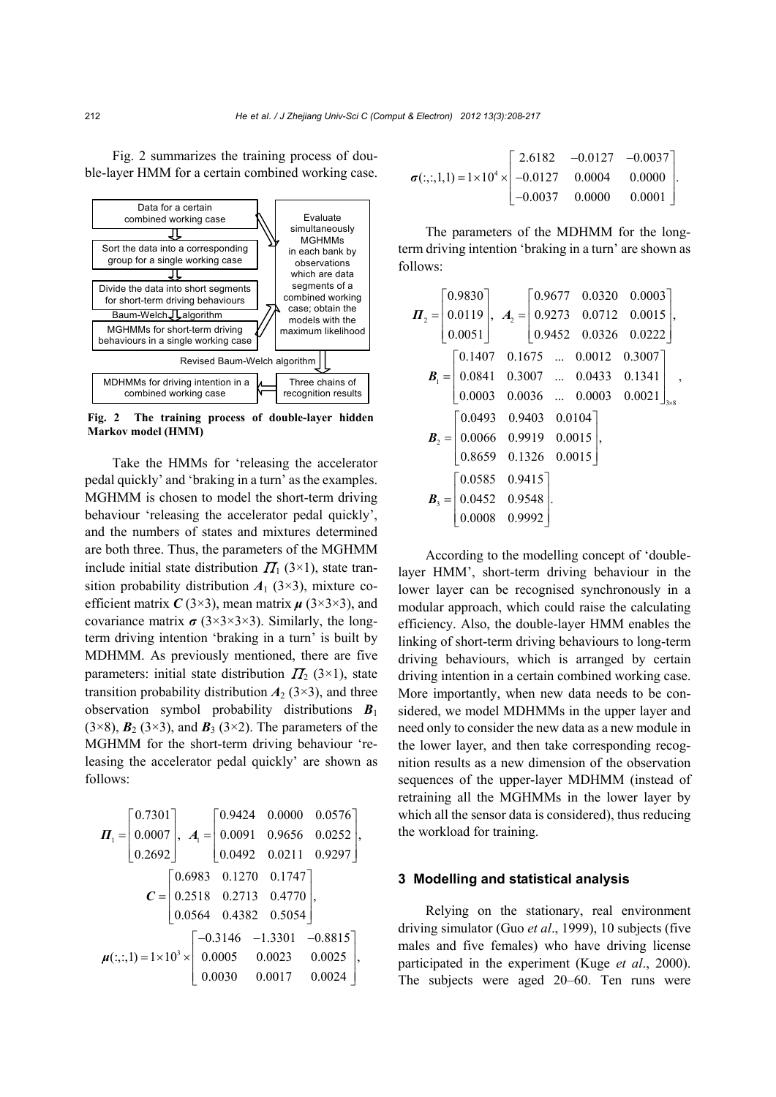Fig. 2 summarizes the training process of double-layer HMM for a certain combined working case.



**Fig. 2 The training process of double-layer hidden Markov model (HMM)** 

Take the HMMs for 'releasing the accelerator pedal quickly' and 'braking in a turn' as the examples. MGHMM is chosen to model the short-term driving behaviour 'releasing the accelerator pedal quickly', and the numbers of states and mixtures determined are both three. Thus, the parameters of the MGHMM include initial state distribution  $\Pi_1$  (3×1), state transition probability distribution  $A_1$  (3×3), mixture coefficient matrix  $C$  (3×3), mean matrix  $\mu$  (3×3×3), and covariance matrix  $\sigma$  (3×3×3×3). Similarly, the longterm driving intention 'braking in a turn' is built by MDHMM. As previously mentioned, there are five parameters: initial state distribution  $\Pi_2$  (3×1), state transition probability distribution  $A_2$  (3×3), and three observation symbol probability distributions *B*<sup>1</sup>  $(3\times8)$ , **B**<sub>2</sub>  $(3\times3)$ , and **B**<sub>3</sub>  $(3\times2)$ . The parameters of the MGHMM for the short-term driving behaviour 'releasing the accelerator pedal quickly' are shown as follows:

$$
\boldsymbol{\Pi}_{1} = \begin{bmatrix} 0.7301 \\ 0.0007 \\ 0.2692 \end{bmatrix}, \quad \boldsymbol{A}_{1} = \begin{bmatrix} 0.9424 & 0.0000 & 0.0576 \\ 0.0091 & 0.9656 & 0.0252 \\ 0.0492 & 0.0211 & 0.9297 \end{bmatrix},
$$
\n
$$
\boldsymbol{C} = \begin{bmatrix} 0.6983 & 0.1270 & 0.1747 \\ 0.2518 & 0.2713 & 0.4770 \\ 0.0564 & 0.4382 & 0.5054 \end{bmatrix},
$$
\n
$$
\boldsymbol{\mu}(:,,1) = 1 \times 10^{3} \times \begin{bmatrix} -0.3146 & -1.3301 & -0.8815 \\ 0.0005 & 0.0023 & 0.0025 \\ 0.0030 & 0.0017 & 0.0024 \end{bmatrix},
$$

|                                                                                                    | $\begin{bmatrix} 2.6182 & -0.0127 & -0.0037 \end{bmatrix}$ |  |
|----------------------------------------------------------------------------------------------------|------------------------------------------------------------|--|
| $\sigma(:,:,1,1) = 1 \times 10^4 \times \begin{vmatrix} -0.0127 & 0.0004 & 0.0000 \end{vmatrix}$ . |                                                            |  |
|                                                                                                    | $\begin{vmatrix} -0.0037 & 0.0000 & 0.0001 \end{vmatrix}$  |  |

The parameters of the MDHMM for the longterm driving intention 'braking in a turn' are shown as follows:

$$
\mathbf{I}_2 = \begin{bmatrix} 0.9830 \\ 0.0119 \\ 0.0051 \end{bmatrix}, \quad \mathbf{A}_2 = \begin{bmatrix} 0.9677 & 0.0320 & 0.0003 \\ 0.9273 & 0.0712 & 0.0015 \\ 0.9452 & 0.0326 & 0.0222 \end{bmatrix},
$$
\n
$$
\mathbf{B}_1 = \begin{bmatrix} 0.1407 & 0.1675 & \dots & 0.0012 & 0.3007 \\ 0.0841 & 0.3007 & \dots & 0.0433 & 0.1341 \\ 0.0003 & 0.0036 & \dots & 0.0003 & 0.0021 \end{bmatrix}_{3\times 8},
$$
\n
$$
\mathbf{B}_2 = \begin{bmatrix} 0.0493 & 0.9403 & 0.0104 \\ 0.0066 & 0.9919 & 0.0015 \\ 0.8659 & 0.1326 & 0.0015 \end{bmatrix},
$$
\n
$$
\mathbf{B}_3 = \begin{bmatrix} 0.0585 & 0.9415 \\ 0.0452 & 0.9548 \\ 0.0008 & 0.9992 \end{bmatrix}.
$$

According to the modelling concept of 'doublelayer HMM', short-term driving behaviour in the lower layer can be recognised synchronously in a modular approach, which could raise the calculating efficiency. Also, the double-layer HMM enables the linking of short-term driving behaviours to long-term driving behaviours, which is arranged by certain driving intention in a certain combined working case. More importantly, when new data needs to be considered, we model MDHMMs in the upper layer and need only to consider the new data as a new module in the lower layer, and then take corresponding recognition results as a new dimension of the observation sequences of the upper-layer MDHMM (instead of retraining all the MGHMMs in the lower layer by which all the sensor data is considered), thus reducing the workload for training.

#### **3 Modelling and statistical analysis**

Relying on the stationary, real environment driving simulator (Guo *et al*., 1999), 10 subjects (five males and five females) who have driving license participated in the experiment (Kuge *et al*., 2000). The subjects were aged 20–60. Ten runs were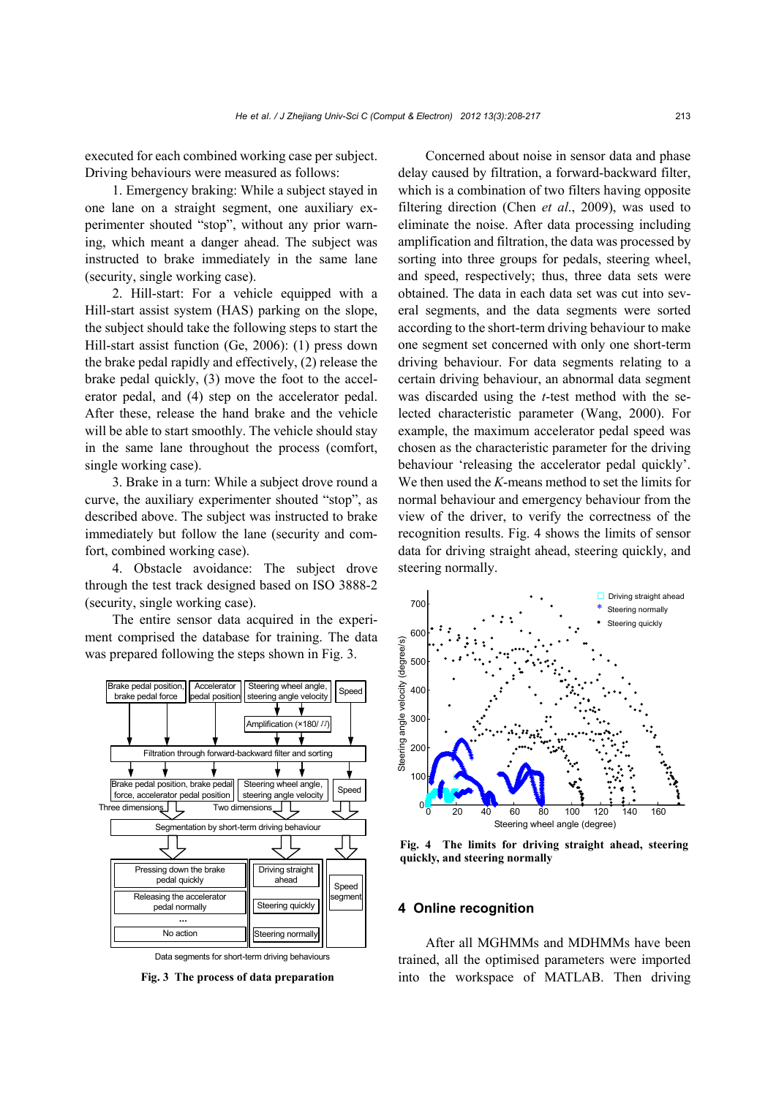executed for each combined working case per subject. Driving behaviours were measured as follows:

1. Emergency braking: While a subject stayed in one lane on a straight segment, one auxiliary experimenter shouted "stop", without any prior warning, which meant a danger ahead. The subject was instructed to brake immediately in the same lane (security, single working case).

2. Hill-start: For a vehicle equipped with a Hill-start assist system (HAS) parking on the slope, the subject should take the following steps to start the Hill-start assist function (Ge, 2006): (1) press down the brake pedal rapidly and effectively, (2) release the brake pedal quickly, (3) move the foot to the accelerator pedal, and (4) step on the accelerator pedal. After these, release the hand brake and the vehicle will be able to start smoothly. The vehicle should stay in the same lane throughout the process (comfort, single working case).

3. Brake in a turn: While a subject drove round a curve, the auxiliary experimenter shouted "stop", as described above. The subject was instructed to brake immediately but follow the lane (security and comfort, combined working case).

4. Obstacle avoidance: The subject drove through the test track designed based on ISO 3888-2 (security, single working case).

The entire sensor data acquired in the experiment comprised the database for training. The data was prepared following the steps shown in Fig. 3.



Data segments for short-term driving behaviours

Concerned about noise in sensor data and phase delay caused by filtration, a forward-backward filter, which is a combination of two filters having opposite filtering direction (Chen *et al*., 2009), was used to eliminate the noise. After data processing including amplification and filtration, the data was processed by sorting into three groups for pedals, steering wheel, and speed, respectively; thus, three data sets were obtained. The data in each data set was cut into several segments, and the data segments were sorted according to the short-term driving behaviour to make one segment set concerned with only one short-term driving behaviour. For data segments relating to a certain driving behaviour, an abnormal data segment was discarded using the *t*-test method with the selected characteristic parameter (Wang, 2000). For example, the maximum accelerator pedal speed was chosen as the characteristic parameter for the driving behaviour 'releasing the accelerator pedal quickly'. We then used the *K*-means method to set the limits for normal behaviour and emergency behaviour from the view of the driver, to verify the correctness of the recognition results. Fig. 4 shows the limits of sensor data for driving straight ahead, steering quickly, and steering normally.



**Fig. 4 The limits for driving straight ahead, steering quickly, and steering normally** 

#### **4 Online recognition**

After all MGHMMs and MDHMMs have been trained, all the optimised parameters were imported **Fig. 3 The process of data preparation** into the workspace of MATLAB. Then driving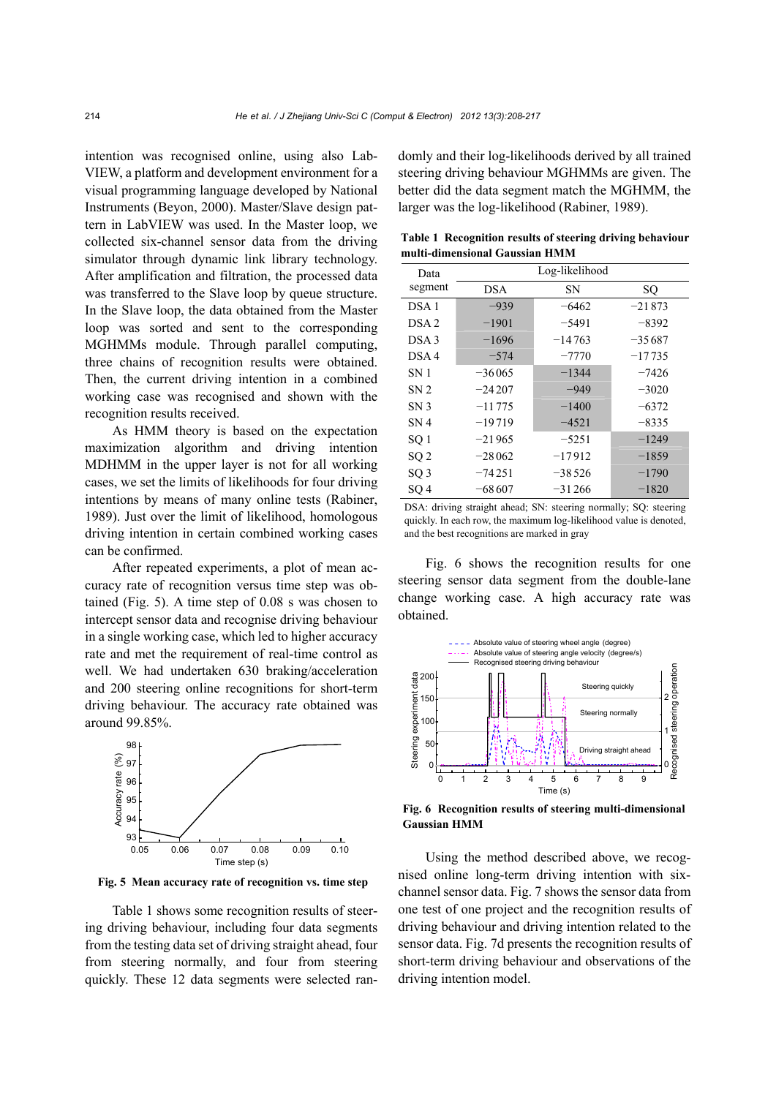intention was recognised online, using also Lab-VIEW, a platform and development environment for a visual programming language developed by National Instruments (Beyon, 2000). Master/Slave design pattern in LabVIEW was used. In the Master loop, we collected six-channel sensor data from the driving simulator through dynamic link library technology. After amplification and filtration, the processed data was transferred to the Slave loop by queue structure. In the Slave loop, the data obtained from the Master loop was sorted and sent to the corresponding MGHMMs module. Through parallel computing, three chains of recognition results were obtained. Then, the current driving intention in a combined working case was recognised and shown with the recognition results received.

As HMM theory is based on the expectation maximization algorithm and driving intention MDHMM in the upper layer is not for all working cases, we set the limits of likelihoods for four driving intentions by means of many online tests (Rabiner, 1989). Just over the limit of likelihood, homologous driving intention in certain combined working cases can be confirmed.

After repeated experiments, a plot of mean accuracy rate of recognition versus time step was obtained (Fig. 5). A time step of 0.08 s was chosen to intercept sensor data and recognise driving behaviour in a single working case, which led to higher accuracy rate and met the requirement of real-time control as well. We had undertaken 630 braking/acceleration and 200 steering online recognitions for short-term driving behaviour. The accuracy rate obtained was around 99.85%.



**Fig. 5 Mean accuracy rate of recognition vs. time step**

Table 1 shows some recognition results of steering driving behaviour, including four data segments from the testing data set of driving straight ahead, four from steering normally, and four from steering quickly. These 12 data segments were selected randomly and their log-likelihoods derived by all trained steering driving behaviour MGHMMs are given. The better did the data segment match the MGHMM, the larger was the log-likelihood (Rabiner, 1989).

**Table 1 Recognition results of steering driving behaviour multi-dimensional Gaussian HMM** 

| Data             | Log-likelihood |           |          |  |  |
|------------------|----------------|-----------|----------|--|--|
| segment          | <b>DSA</b>     | <b>SN</b> | SО       |  |  |
| DSA <sub>1</sub> | $-939$         | $-6462$   | $-21873$ |  |  |
| DSA <sub>2</sub> | $-1901$        | $-5491$   | $-8392$  |  |  |
| DSA <sub>3</sub> | $-1696$        | $-14763$  | $-35687$ |  |  |
| DSA4             | $-574$         | $-7770$   | $-17735$ |  |  |
| SN <sub>1</sub>  | $-36065$       | $-1344$   | $-7426$  |  |  |
| SN <sub>2</sub>  | $-24207$       | $-949$    | $-3020$  |  |  |
| SN <sub>3</sub>  | $-11775$       | $-1400$   | $-6372$  |  |  |
| SN <sub>4</sub>  | $-19719$       | $-4521$   | $-8335$  |  |  |
| SQ <sub>1</sub>  | $-21965$       | $-5251$   | $-1249$  |  |  |
| SQ <sub>2</sub>  | $-28062$       | $-17912$  | $-1859$  |  |  |
| SQ <sub>3</sub>  | $-74251$       | $-38526$  | $-1790$  |  |  |
| SQ 4             | $-68607$       | $-31266$  | $-1820$  |  |  |

DSA: driving straight ahead; SN: steering normally; SQ: steering quickly. In each row, the maximum log-likelihood value is denoted, and the best recognitions are marked in gray

Fig. 6 shows the recognition results for one steering sensor data segment from the double-lane change working case. A high accuracy rate was obtained.



**Fig. 6 Recognition results of steering multi-dimensional Gaussian HMM** 

Using the method described above, we recognised online long-term driving intention with sixchannel sensor data. Fig. 7 shows the sensor data from one test of one project and the recognition results of driving behaviour and driving intention related to the sensor data. Fig. 7d presents the recognition results of short-term driving behaviour and observations of the driving intention model.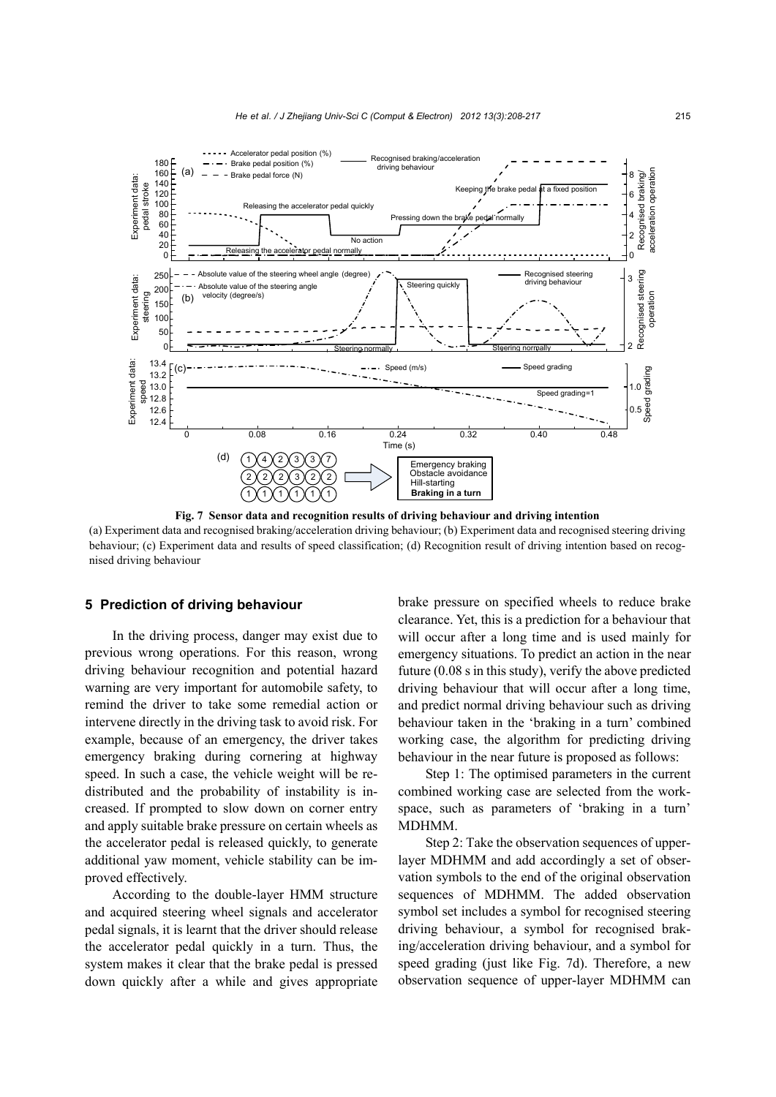

(a) Experiment data and recognised braking/acceleration driving behaviour; (b) Experiment data and recognised steering driving behaviour; (c) Experiment data and results of speed classification; (d) Recognition result of driving intention based on recognised driving behaviour

# **5 Prediction of driving behaviour**

In the driving process, danger may exist due to previous wrong operations. For this reason, wrong driving behaviour recognition and potential hazard warning are very important for automobile safety, to remind the driver to take some remedial action or intervene directly in the driving task to avoid risk. For example, because of an emergency, the driver takes emergency braking during cornering at highway speed. In such a case, the vehicle weight will be redistributed and the probability of instability is increased. If prompted to slow down on corner entry and apply suitable brake pressure on certain wheels as the accelerator pedal is released quickly, to generate additional yaw moment, vehicle stability can be improved effectively.

According to the double-layer HMM structure and acquired steering wheel signals and accelerator pedal signals, it is learnt that the driver should release the accelerator pedal quickly in a turn. Thus, the system makes it clear that the brake pedal is pressed down quickly after a while and gives appropriate brake pressure on specified wheels to reduce brake clearance. Yet, this is a prediction for a behaviour that will occur after a long time and is used mainly for emergency situations. To predict an action in the near future (0.08 s in this study), verify the above predicted driving behaviour that will occur after a long time, and predict normal driving behaviour such as driving behaviour taken in the 'braking in a turn' combined working case, the algorithm for predicting driving behaviour in the near future is proposed as follows:

Step 1: The optimised parameters in the current combined working case are selected from the workspace, such as parameters of 'braking in a turn' MDHMM.

Step 2: Take the observation sequences of upperlayer MDHMM and add accordingly a set of observation symbols to the end of the original observation sequences of MDHMM. The added observation symbol set includes a symbol for recognised steering driving behaviour, a symbol for recognised braking/acceleration driving behaviour, and a symbol for speed grading (just like Fig. 7d). Therefore, a new observation sequence of upper-layer MDHMM can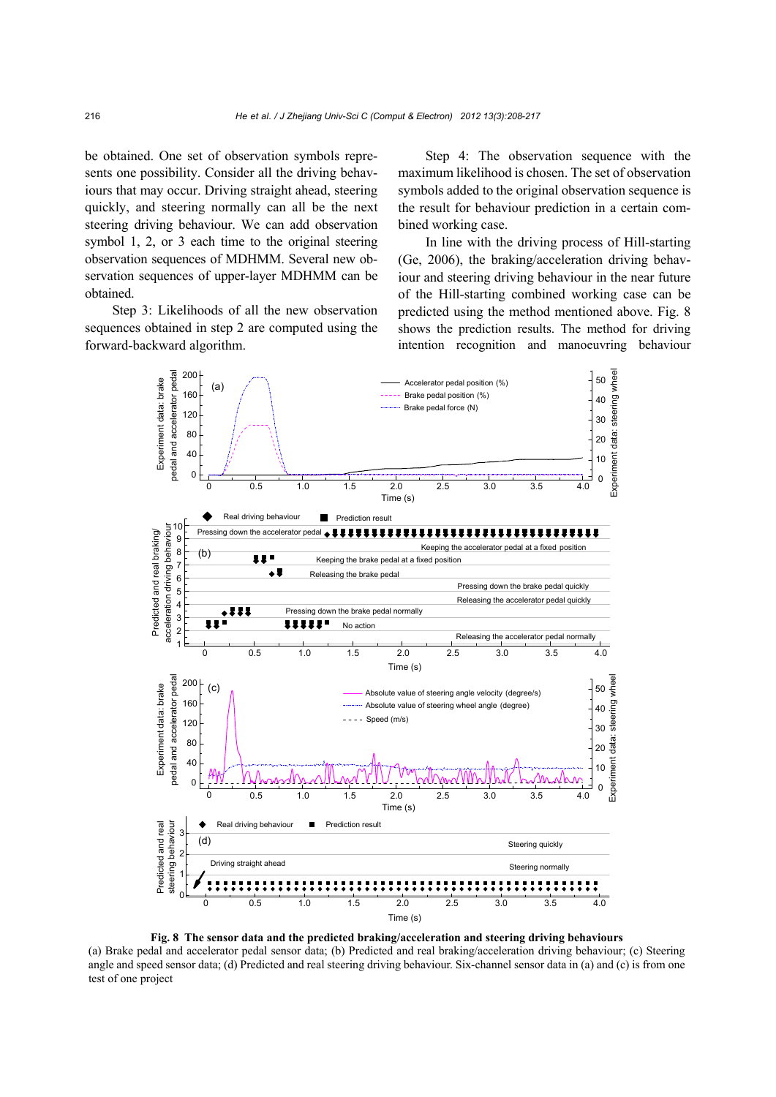be obtained. One set of observation symbols represents one possibility. Consider all the driving behaviours that may occur. Driving straight ahead, steering quickly, and steering normally can all be the next steering driving behaviour. We can add observation symbol 1, 2, or 3 each time to the original steering observation sequences of MDHMM. Several new observation sequences of upper-layer MDHMM can be obtained.

Step 3: Likelihoods of all the new observation sequences obtained in step 2 are computed using the forward-backward algorithm.

Step 4: The observation sequence with the maximum likelihood is chosen. The set of observation symbols added to the original observation sequence is the result for behaviour prediction in a certain combined working case.

In line with the driving process of Hill-starting (Ge, 2006), the braking/acceleration driving behaviour and steering driving behaviour in the near future of the Hill-starting combined working case can be predicted using the method mentioned above. Fig. 8 shows the prediction results. The method for driving intention recognition and manoeuvring behaviour



**Fig. 8 The sensor data and the predicted braking/acceleration and steering driving behaviours**  (a) Brake pedal and accelerator pedal sensor data; (b) Predicted and real braking/acceleration driving behaviour; (c) Steering angle and speed sensor data; (d) Predicted and real steering driving behaviour. Six-channel sensor data in (a) and (c) is from one test of one project